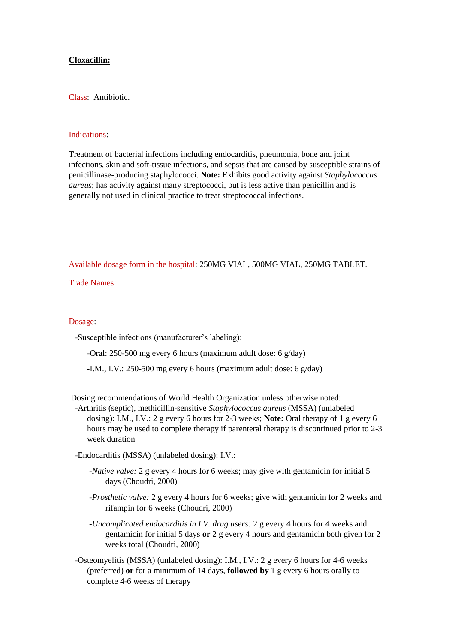## **Cloxacillin:**

Class: Antibiotic.

## Indications:

Treatment of bacterial infections including endocarditis, pneumonia, bone and joint infections, skin and soft-tissue infections, and sepsis that are caused by susceptible strains of penicillinase-producing staphylococci. **Note:** Exhibits good activity against *Staphylococcus aureus*; has activity against many streptococci, but is less active than penicillin and is generally not used in clinical practice to treat streptococcal infections.

Available dosage form in the hospital: 250MG VIAL, 500MG VIAL, 250MG TABLET.

Trade Names:

## Dosage:

-Susceptible infections (manufacturer's labeling):

-Oral: 250-500 mg every 6 hours (maximum adult dose: 6 g/day)

-I.M., I.V.: 250-500 mg every 6 hours (maximum adult dose: 6 g/day)

Dosing recommendations of World Health Organization unless otherwise noted:

 -Arthritis (septic), methicillin-sensitive *Staphylococcus aureus* (MSSA) (unlabeled dosing): I.M., I.V.: 2 g every 6 hours for 2-3 weeks; **Note:** Oral therapy of 1 g every 6 hours may be used to complete therapy if parenteral therapy is discontinued prior to 2-3 week duration

-Endocarditis (MSSA) (unlabeled dosing): I.V.:

- *-Native valve:* 2 g every 4 hours for 6 weeks; may give with gentamicin for initial 5 days (Choudri, 2000)
- *-Prosthetic valve:* 2 g every 4 hours for 6 weeks; give with gentamicin for 2 weeks and rifampin for 6 weeks (Choudri, 2000)

*-Uncomplicated endocarditis in I.V. drug users:* 2 g every 4 hours for 4 weeks and gentamicin for initial 5 days **or** 2 g every 4 hours and gentamicin both given for 2 weeks total (Choudri, 2000)

 -Osteomyelitis (MSSA) (unlabeled dosing): I.M., I.V.: 2 g every 6 hours for 4-6 weeks (preferred) **or** for a minimum of 14 days, **followed by** 1 g every 6 hours orally to complete 4-6 weeks of therapy